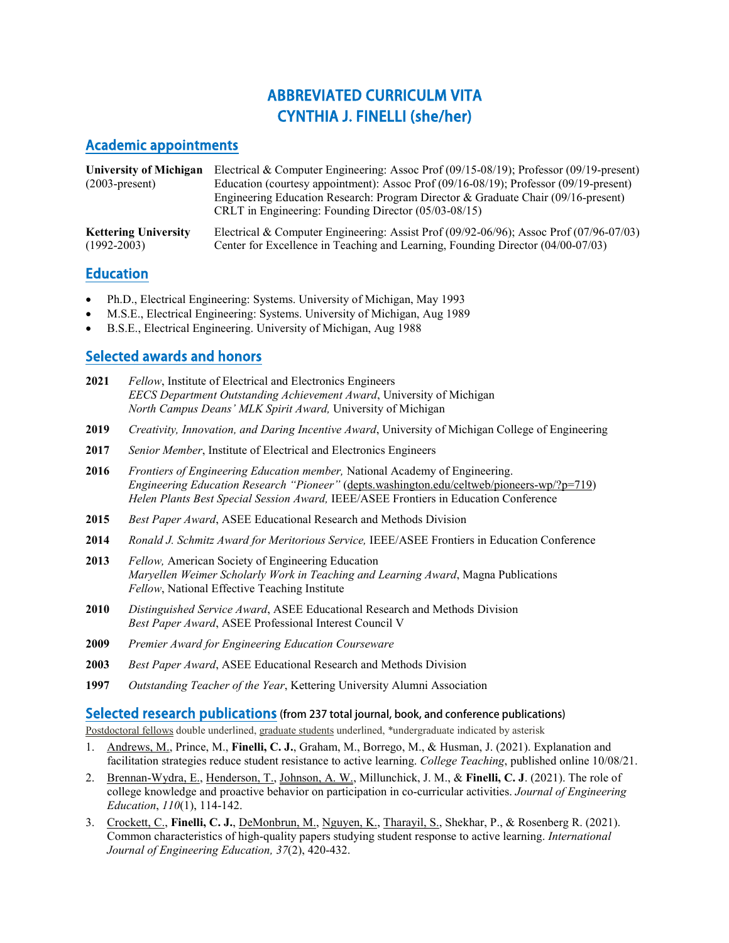# ABBREVIATED CURRICULM VITA CYNTHIA J. FINELLI (she/her)

### Academic appointments

| <b>University of Michigan</b> | Electrical & Computer Engineering: Assoc Prof $(09/15-08/19)$ ; Professor $(09/19$ -present)                                              |
|-------------------------------|-------------------------------------------------------------------------------------------------------------------------------------------|
| $(2003$ -present)             | Education (courtesy appointment): Assoc Prof (09/16-08/19); Professor (09/19-present)                                                     |
|                               | Engineering Education Research: Program Director & Graduate Chair (09/16-present)<br>CRLT in Engineering: Founding Director (05/03-08/15) |
| <b>Kettering University</b>   | Electrical & Computer Engineering: Assist Prof (09/92-06/96); Assoc Prof (07/96-07/03)                                                    |
| $(1992 - 2003)$               | Center for Excellence in Teaching and Learning, Founding Director (04/00-07/03)                                                           |

## Education

- Ph.D., Electrical Engineering: Systems. University of Michigan, May 1993
- M.S.E., Electrical Engineering: Systems. University of Michigan, Aug 1989
- B.S.E., Electrical Engineering. University of Michigan, Aug 1988

## Selected awards and honors

- **2021** *Fellow*, Institute of Electrical and Electronics Engineers *EECS Department Outstanding Achievement Award*, University of Michigan *North Campus Deans' MLK Spirit Award,* University of Michigan
- **2019** *Creativity, Innovation, and Daring Incentive Award*, University of Michigan College of Engineering
- **2017** *Senior Member*, Institute of Electrical and Electronics Engineers
- **2016** *Frontiers of Engineering Education member,* National Academy of Engineering. *Engineering Education Research "Pioneer"* [\(depts.washington.edu/celtweb/pioneers-wp/?p=719\)](http://depts.washington.edu/celtweb/pioneers-wp/?p=719) *Helen Plants Best Special Session Award,* IEEE/ASEE Frontiers in Education Conference
- **2015** *Best Paper Award*, ASEE Educational Research and Methods Division
- **2014** *Ronald J. Schmitz Award for Meritorious Service,* IEEE/ASEE Frontiers in Education Conference
- **2013** *Fellow,* American Society of Engineering Education *Maryellen Weimer Scholarly Work in Teaching and Learning Award*, Magna Publications *Fellow*, National Effective Teaching Institute
- **2010** *Distinguished Service Award*, ASEE Educational Research and Methods Division *Best Paper Award*, ASEE Professional Interest Council V
- **2009** *Premier Award for Engineering Education Courseware*
- **2003** *Best Paper Award*, ASEE Educational Research and Methods Division
- **1997** *Outstanding Teacher of the Year*, Kettering University Alumni Association

#### Selected research publications (from 237 total journal, book, and conference publications)

Postdoctoral fellows double underlined, graduate students underlined, \*undergraduate indicated by asterisk

- 1. Andrews, M., Prince, M., **Finelli, C. J.**, Graham, M., Borrego, M., & Husman, J. (2021). Explanation and facilitation strategies reduce student resistance to active learning. *College Teaching*, published online 10/08/21.
- 2. Brennan-Wydra, E., Henderson, T., Johnson, A. W., Millunchick, J. M., & **Finelli, C. J**. (2021). The role of college knowledge and proactive behavior on participation in co-curricular activities. *Journal of Engineering Education*, *110*(1), 114-142.
- 3. Crockett, C., **Finelli, C. J.**, DeMonbrun, M., Nguyen, K., Tharayil, S., Shekhar, P., & Rosenberg R. (2021). Common characteristics of high-quality papers studying student response to active learning. *International Journal of Engineering Education, 37*(2), 420-432.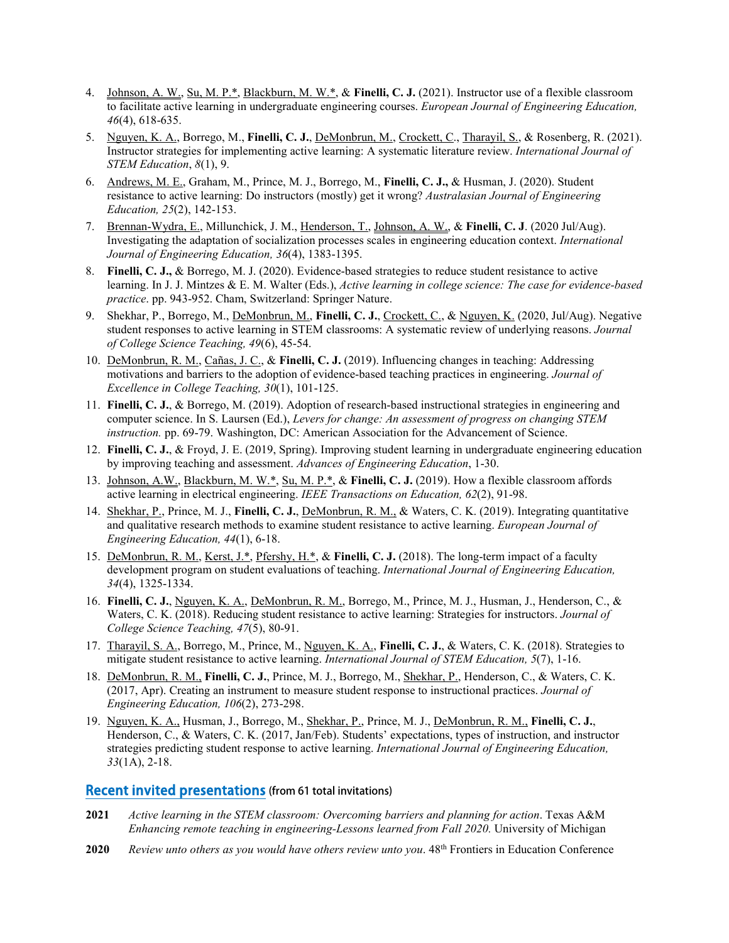- 4. Johnson, A. W., Su, M. P.\*, Blackburn, M. W.\*, & **Finelli, C. J.** (2021). Instructor use of a flexible classroom to facilitate active learning in undergraduate engineering courses. *European Journal of Engineering Education, 46*(4), 618-635.
- 5. Nguyen, K. A., Borrego, M., **Finelli, C. J.**, DeMonbrun, M., Crockett, C., Tharayil, S., & Rosenberg, R. (2021). Instructor strategies for implementing active learning: A systematic literature review. *International Journal of STEM Education*, *8*(1), 9.
- 6. Andrews, M. E., Graham, M., Prince, M. J., Borrego, M., **Finelli, C. J.,** & Husman, J. (2020). Student resistance to active learning: Do instructors (mostly) get it wrong? *Australasian Journal of Engineering Education, 25*(2), 142-153.
- 7. Brennan-Wydra, E., Millunchick, J. M., Henderson, T., Johnson, A. W., & **Finelli, C. J**. (2020 Jul/Aug). Investigating the adaptation of socialization processes scales in engineering education context. *International Journal of Engineering Education, 36*(4), 1383-1395.
- 8. **Finelli, C. J.,** & Borrego, M. J. (2020). Evidence-based strategies to reduce student resistance to active learning. In J. J. Mintzes & E. M. Walter (Eds.), *Active learning in college science: The case for evidence-based practice*. pp. 943-952. Cham, Switzerland: Springer Nature.
- 9. Shekhar, P., Borrego, M., DeMonbrun, M., **Finelli, C. J.**, Crockett, C., & Nguyen, K. (2020, Jul/Aug). Negative student responses to active learning in STEM classrooms: A systematic review of underlying reasons. *Journal of College Science Teaching, 49*(6), 45-54.
- 10. DeMonbrun, R. M., Cañas, J. C., & **Finelli, C. J.** (2019). Influencing changes in teaching: Addressing motivations and barriers to the adoption of evidence-based teaching practices in engineering. *Journal of Excellence in College Teaching, 30*(1), 101-125.
- 11. **Finelli, C. J.**, & Borrego, M. (2019). Adoption of research-based instructional strategies in engineering and computer science. In S. Laursen (Ed.), *Levers for change: An assessment of progress on changing STEM instruction.* pp. 69-79. Washington, DC: American Association for the Advancement of Science.
- 12. **Finelli, C. J.**, & Froyd, J. E. (2019, Spring). Improving student learning in undergraduate engineering education by improving teaching and assessment. *Advances of Engineering Education*, 1-30.
- 13. Johnson, A.W., Blackburn, M. W.\*, Su, M. P.\*, & **Finelli, C. J.** (2019). How a flexible classroom affords active learning in electrical engineering. *IEEE Transactions on Education, 62*(2), 91-98.
- 14. Shekhar, P., Prince, M. J., **Finelli, C. J.**, DeMonbrun, R. M., & Waters, C. K. (2019). Integrating quantitative and qualitative research methods to examine student resistance to active learning. *European Journal of Engineering Education, 44*(1), 6-18.
- 15. DeMonbrun, R. M., Kerst, J.\*, Pfershy, H.\*, & **Finelli, C. J.** (2018). The long-term impact of a faculty development program on student evaluations of teaching. *International Journal of Engineering Education, 34*(4), 1325-1334.
- 16. **Finelli, C. J.**, Nguyen, K. A., DeMonbrun, R. M., Borrego, M., Prince, M. J., Husman, J., Henderson, C., & Waters, C. K. (2018). Reducing student resistance to active learning: Strategies for instructors. *Journal of College Science Teaching, 47*(5), 80-91.
- 17. Tharayil, S. A., Borrego, M., Prince, M., Nguyen, K. A., **Finelli, C. J.**, & Waters, C. K. (2018). Strategies to mitigate student resistance to active learning. *International Journal of STEM Education, 5*(7), 1-16.
- 18. DeMonbrun, R. M., **Finelli, C. J.**, Prince, M. J., Borrego, M., Shekhar, P., Henderson, C., & Waters, C. K. (2017, Apr). Creating an instrument to measure student response to instructional practices. *Journal of Engineering Education, 106*(2), 273-298.
- 19. Nguyen, K. A., Husman, J., Borrego, M., Shekhar, P., Prince, M. J., DeMonbrun, R. M., **Finelli, C. J.**, Henderson, C., & Waters, C. K. (2017, Jan/Feb). Students' expectations, types of instruction, and instructor strategies predicting student response to active learning. *International Journal of Engineering Education, 33*(1A), 2-18.

### Recent invited presentations (from 61 total invitations)

- **2021** *Active learning in the STEM classroom: Overcoming barriers and planning for action*. Texas A&M *Enhancing remote teaching in engineering-Lessons learned from Fall 2020.* University of Michigan
- **2020** *Review unto others as you would have others review unto you*. 48th Frontiers in Education Conference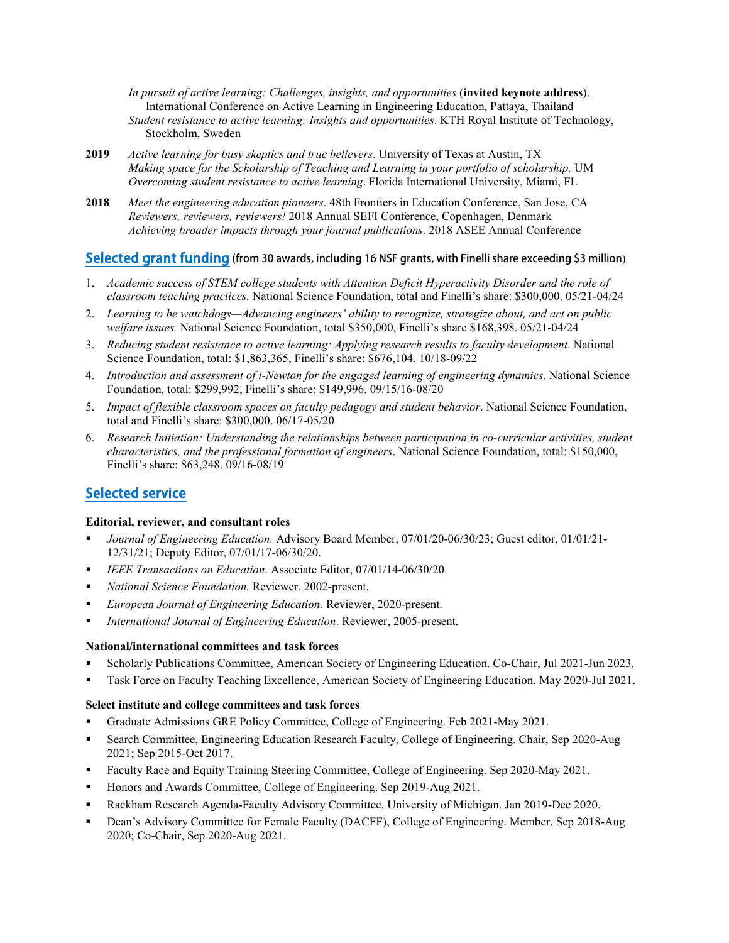*In pursuit of active learning: Challenges, insights, and opportunities* (**invited keynote address**). International Conference on Active Learning in Engineering Education, Pattaya, Thailand *Student resistance to active learning: Insights and opportunities*. KTH Royal Institute of Technology, Stockholm, Sweden

- **2019** *Active learning for busy skeptics and true believers*. University of Texas at Austin, TX *Making space for the Scholarship of Teaching and Learning in your portfolio of scholarship.* UM *Overcoming student resistance to active learning*. Florida International University, Miami, FL
- **2018** *Meet the engineering education pioneers*. 48th Frontiers in Education Conference, San Jose, CA *Reviewers, reviewers, reviewers!* 2018 Annual SEFI Conference, Copenhagen, Denmark *Achieving broader impacts through your journal publications*. 2018 ASEE Annual Conference

### Selected grant funding (from 30 awards, including 16 NSF grants, with Finelli share exceeding \$3 million)

- 1. *Academic success of STEM college students with Attention Deficit Hyperactivity Disorder and the role of classroom teaching practices.* National Science Foundation, total and Finelli's share: \$300,000. 05/21-04/24
- 2. *Learning to be watchdogs—Advancing engineers' ability to recognize, strategize about, and act on public welfare issues.* National Science Foundation, total \$350,000, Finelli's share \$168,398. 05/21-04/24
- 3. *Reducing student resistance to active learning: Applying research results to faculty development*. National Science Foundation, total: \$1,863,365, Finelli's share: \$676,104. 10/18-09/22
- 4. *Introduction and assessment of i-Newton for the engaged learning of engineering dynamics*. National Science Foundation, total: \$299,992, Finelli's share: \$149,996. 09/15/16-08/20
- 5. *Impact of flexible classroom spaces on faculty pedagogy and student behavior*. National Science Foundation, total and Finelli's share: \$300,000. 06/17-05/20
- 6. *Research Initiation: Understanding the relationships between participation in co-curricular activities, student characteristics, and the professional formation of engineers*. National Science Foundation, total: \$150,000, Finelli's share: \$63,248. 09/16-08/19

## Selected service

#### **Editorial, reviewer, and consultant roles**

- *Journal of Engineering Education.* Advisory Board Member, 07/01/20-06/30/23; Guest editor, 01/01/21- 12/31/21; Deputy Editor, 07/01/17-06/30/20.
- *IEEE Transactions on Education*. Associate Editor, 07/01/14-06/30/20.
- *National Science Foundation.* Reviewer, 2002-present.
- *European Journal of Engineering Education.* Reviewer, 2020-present.
- *International Journal of Engineering Education*. Reviewer, 2005-present.

#### **National/international committees and task forces**

- Scholarly Publications Committee, American Society of Engineering Education. Co-Chair, Jul 2021-Jun 2023.
- Task Force on Faculty Teaching Excellence, American Society of Engineering Education. May 2020-Jul 2021.

#### **Select institute and college committees and task forces**

- Graduate Admissions GRE Policy Committee, College of Engineering. Feb 2021-May 2021.
- Search Committee, Engineering Education Research Faculty, College of Engineering. Chair, Sep 2020-Aug 2021; Sep 2015-Oct 2017.
- Faculty Race and Equity Training Steering Committee, College of Engineering. Sep 2020-May 2021.
- Honors and Awards Committee, College of Engineering. Sep 2019-Aug 2021.
- Rackham Research Agenda-Faculty Advisory Committee, University of Michigan. Jan 2019-Dec 2020.
- Dean's Advisory Committee for Female Faculty (DACFF), College of Engineering. Member, Sep 2018-Aug 2020; Co-Chair, Sep 2020-Aug 2021.